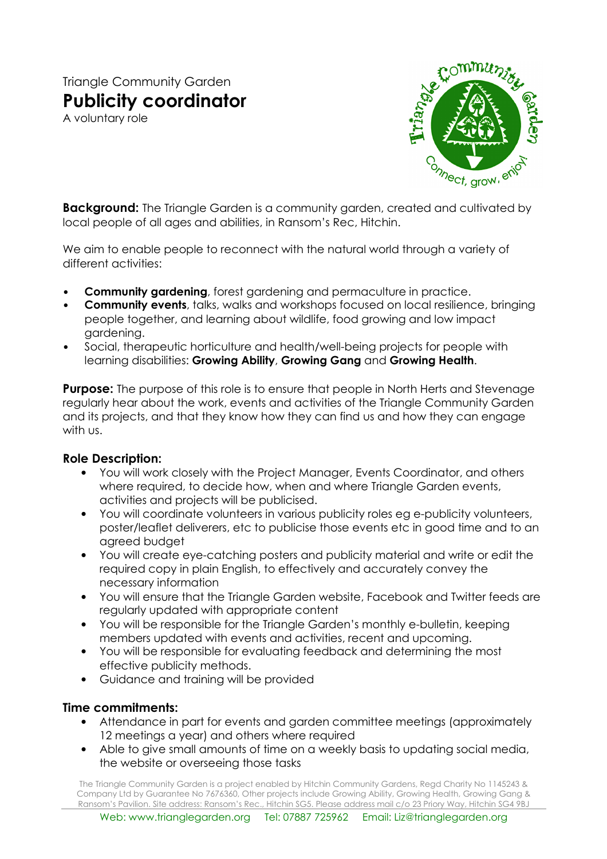# Triangle Community Garden Publicity coordinator

A voluntary role



**Background:** The Triangle Garden is a community garden, created and cultivated by local people of all ages and abilities, in Ransom's Rec, Hitchin.

We aim to enable people to reconnect with the natural world through a variety of different activities:

- Community gardening, forest gardening and permaculture in practice.
- **Community events**, talks, walks and workshops focused on local resilience, bringing people together, and learning about wildlife, food growing and low impact gardening.
- Social, therapeutic horticulture and health/well-being projects for people with learning disabilities: Growing Ability, Growing Gang and Growing Health.

**Purpose:** The purpose of this role is to ensure that people in North Herts and Stevenage regularly hear about the work, events and activities of the Triangle Community Garden and its projects, and that they know how they can find us and how they can engage with us.

#### Role Description:

- You will work closely with the Project Manager, Events Coordinator, and others where required, to decide how, when and where Triangle Garden events, activities and projects will be publicised.
- You will coordinate volunteers in various publicity roles eg e-publicity volunteers, poster/leaflet deliverers, etc to publicise those events etc in good time and to an agreed budget
- You will create eye-catching posters and publicity material and write or edit the required copy in plain English, to effectively and accurately convey the necessary information
- You will ensure that the Triangle Garden website, Facebook and Twitter feeds are regularly updated with appropriate content
- You will be responsible for the Triangle Garden's monthly e-bulletin, keeping members updated with events and activities, recent and upcoming.
- You will be responsible for evaluating feedback and determining the most effective publicity methods.
- Guidance and training will be provided

## Time commitments:

- Attendance in part for events and garden committee meetings (approximately 12 meetings a year) and others where required
- Able to give small amounts of time on a weekly basis to updating social media, the website or overseeing those tasks

The Triangle Community Garden is a project enabled by Hitchin Community Gardens, Regd Charity No 1145243 & Company Ltd by Guarantee No 7676360, Other projects include Growing Ability, Growing Health, Growing Gang & Ransom's Pavilion. Site address: Ransom's Rec., Hitchin SG5. Please address mail c/o 23 Priory Way, Hitchin SG4 9BJ